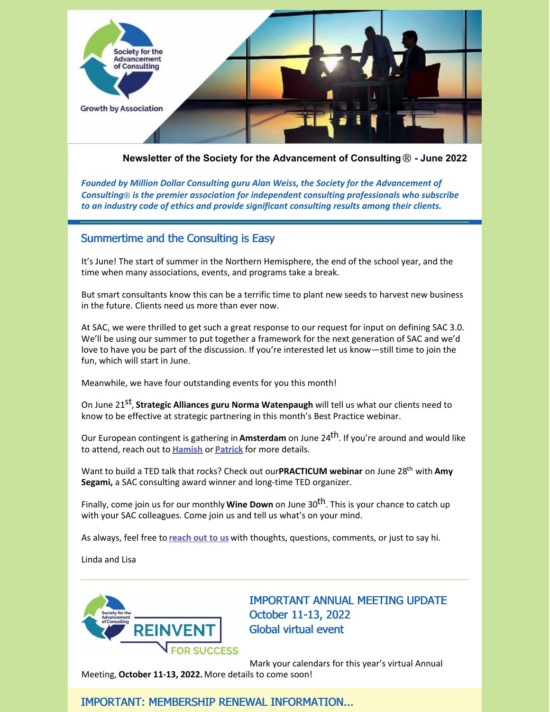

**Newsletter of the Society for the Advancement of Consulting**® **- June 2022**

*Founded by Million Dollar Consulting guru Alan Weiss, the Society for the Advancement of Consulting*® *is the premier association for independent consulting professionals who subscribe to an industry code of ethics and provide significant consulting results among their clients.*

### Summertime and the Consulting is Easy

It's June! The start of summer in the Northern Hemisphere, the end of the school year, and the time when many associations, events, and programs take a break.

But smart consultants know this can be a terrific time to plant new seeds to harvest new business in the future. Clients need us more than ever now.

At SAC, we were thrilled to get such a great response to our request for input on defining SAC 3.0. We'll be using our summer to put together a framework for the next generation of SAC and we'd love to have you be part of the discussion. If you're interested let us know—still time to join the fun, which will start in June.

Meanwhile, we have four outstanding events for you this month!

On June 21 st , **Strategic Alliances guru Norma Watenpaugh** will tell us what our clients need to know to be effective at strategic partnering in this month's Best Practice webinar.

Our European contingent is gathering in **Amsterdam** on June 24<sup>th</sup>. If you're around and would like to attend, reach out to **[Hamish](mailto:hm@hamishmackenzie.com)** or **[Patrick](mailto:pdaly@albalogistics.com)** for more details.

Want to build a TED talk that rocks? Check out our**PRACTICUM webinar** on June 28 th with **Amy Segami,** a SAC consulting award winner and long-time TED organizer.

Finally, come join us for our monthly **Wine Down** on June 30 th. This is your chance to catch up with your SAC colleagues. Come join us and tell us what's on your mind.

As always, feel free to **[reach](mailto:info@consultingsociety.com) out to us** with thoughts, questions, comments, or just to say hi.

Linda and Lisa



IMPORTANT ANNUAL MEETING UPDATE October 11-13, 2022 Global virtual event

Mark your calendars for this year's virtual Annual

Meeting, **October 11-13, 2022.** More details to come soon!

IMPORTANT: MEMBERSHIP RENEWAL INFORMATION...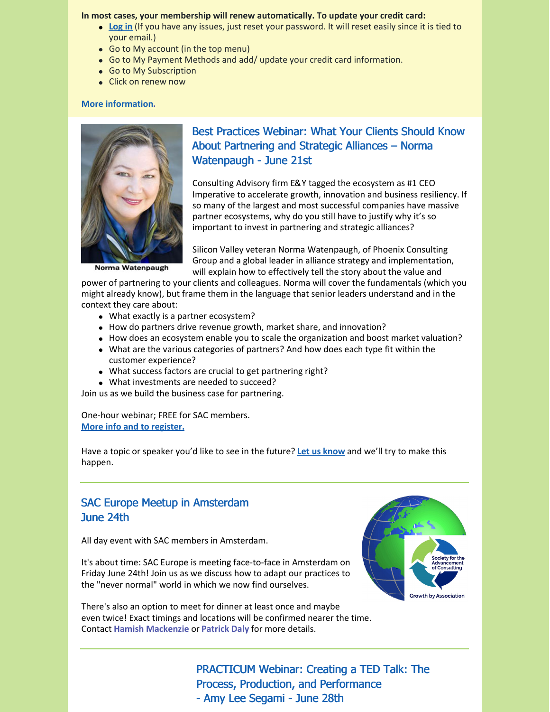#### **In most cases, your membership will renew automatically. To update your credit card:**

- **[Log](https://consultingsociety.com/) in** (If you have any issues, just reset your password. It will reset easily since it is tied to your email.)
- Go to My account (in the top menu)
- Go to My Payment Methods and add/ update your credit card information.
- Go to My Subscription
- Click on renew now

#### **More [information.](https://consultingsociety.com/membership/membership-types)**



Norma Watenpaugh

# Best Practices Webinar: What Your Clients Should Know About Partnering and Strategic Alliances – Norma Watenpaugh - June 21st

Consulting Advisory firm E&Y tagged the ecosystem as #1 CEO Imperative to accelerate growth, innovation and business resiliency. If so many of the largest and most successful companies have massive partner ecosystems, why do you still have to justify why it's so important to invest in partnering and strategic alliances?

Silicon Valley veteran Norma Watenpaugh, of Phoenix Consulting Group and a global leader in alliance strategy and implementation, will explain how to effectively tell the story about the value and

power of partnering to your clients and colleagues. Norma will cover the fundamentals (which you might already know), but frame them in the language that senior leaders understand and in the context they care about:

- What exactly is a partner ecosystem?
- How do partners drive revenue growth, market share, and innovation?
- How does an ecosystem enable you to scale the organization and boost market valuation?
- What are the various categories of partners? And how does each type fit within the customer experience?
- What success factors are crucial to get partnering right?
- What investments are needed to succeed?

Join us as we build the business case for partnering.

One-hour webinar; FREE for SAC members. **More info and to [register.](https://consultingsociety.com/programs-events/best-practices-webinars/#watenpaugh-0622)**

Have a topic or speaker you'd like to see in the future? **Let us [know](mailto:info@consultingsociety.com)** and we'll try to make this happen.

# SAC Europe Meetup in Amsterdam June 24th

All day event with SAC members in Amsterdam.

It's about time: SAC Europe is meeting face-to-face in Amsterdam on Friday June 24th! Join us as we discuss how to adapt our practices to the "never normal" world in which we now find ourselves.

There's also an option to meet for dinner at least once and maybe even twice! Exact timings and locations will be confirmed nearer the time. Contact **Hamish [Mackenzie](mailto:hm@hamishmackenzie.com)** or **[Patrick](mailto:pdaly@albalogistics.com) Daly** for more details.



PRACTICUM Webinar: Creating a TED Talk: The Process, Production, and Performance - Amy Lee Segami - June 28th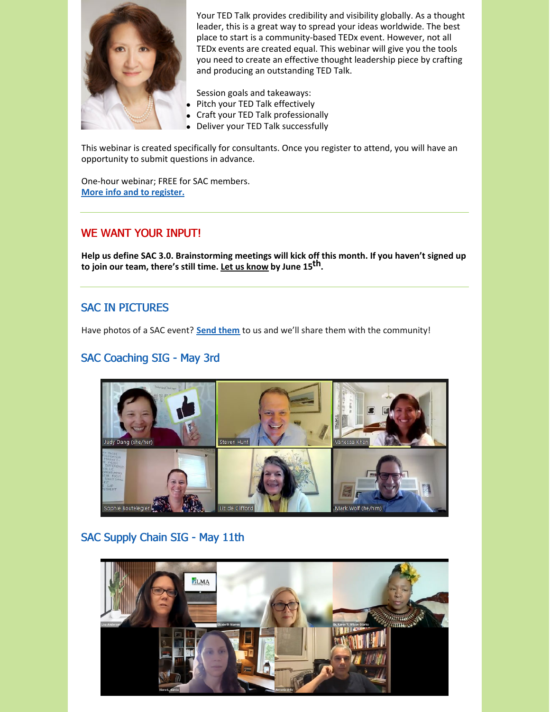

Your TED Talk provides credibility and visibility globally. As a thought leader, this is a great way to spread your ideas worldwide. The best place to start is a community-based TEDx event. However, not all TEDx events are created equal. This webinar will give you the tools you need to create an effective thought leadership piece by crafting and producing an outstanding TED Talk.

Session goals and takeaways:

- Pitch your TED Talk effectively  $\bullet$
- Craft your TED Talk professionally
- Deliver your TED Talk successfully

This webinar is created specifically for consultants. Once you register to attend, you will have an opportunity to submit questions in advance.

One-hour webinar; FREE for SAC members. **More info and to [register.](https://consultingsociety.com/programs-events/practicum-webinars/#segami-0622)**

### WE WANT YOUR INPUT!

**Help us define SAC 3.0. Brainstorming meetings will kick off this month. If you haven't signed up to join our team, there's still time. Let us [know](mailto:info@consultingsociety.com) by June 15 th.**

# SAC IN PICTURES

Have photos of a SAC event? **Send [them](mailto:info@consultingsociety.com)** to us and we'll share them with the community!

# SAC Coaching SIG - May 3rd



# SAC Supply Chain SIG - May 11th

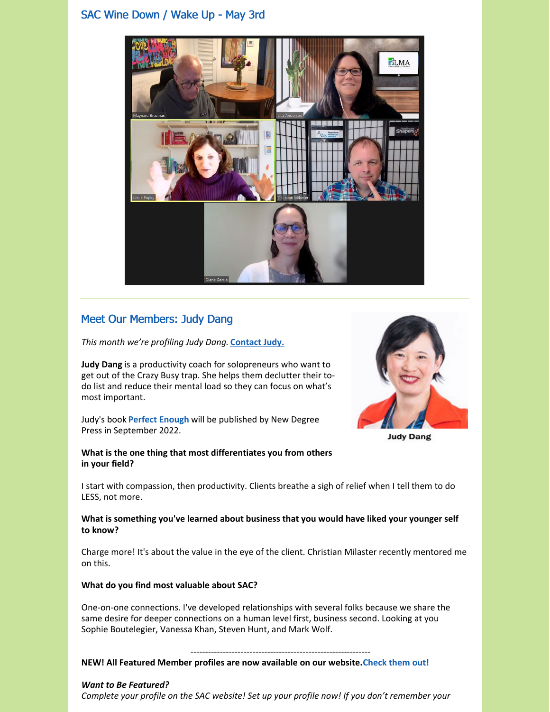## SAC Wine Down / Wake Up - May 3rd



# Meet Our Members: Judy Dang

*This month we're profiling Judy Dang.* **[Contact](https://consultingsociety.com/user/judy.dang/) Judy.**

**Judy Dang** is a productivity coach for solopreneurs who want to get out of the Crazy Busy trap. She helps them declutter their todo list and reduce their mental load so they can focus on what's most important.

Judy's book **[Perfect](https://avidatwork.com/book/) Enough** will be published by New Degree Press in September 2022.

#### **What is the one thing that most differentiates you from others in your field?**



**Judy Dang** 

I start with compassion, then productivity. Clients breathe a sigh of relief when I tell them to do LESS, not more.

#### **What is something you've learned about business that you would have liked your younger self to know?**

Charge more! It's about the value in the eye of the client. Christian Milaster recently mentored me on this.

#### **What do you find most valuable about SAC?**

One-on-one connections. I've developed relationships with several folks because we share the same desire for deeper connections on a human level first, business second. Looking at you Sophie Boutelegier, Vanessa Khan, Steven Hunt, and Mark Wolf.

#### ------------------------------------------------------------- **NEW! All Featured Member profiles are now available on our website.Check them out!**

#### *Want to Be Featured?*

*Complete your profile on the SAC website! Set up your profile now! If you don't remember your*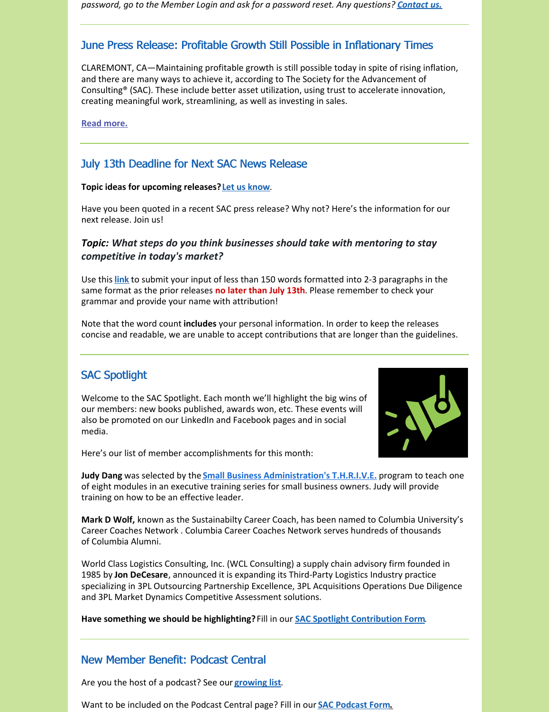*password, go to the Member Login and ask for a password reset. Any questions? [Contact](mailto:info@consultingsociety.com) us.*

# June Press Release: Profitable Growth Still Possible in Inflationary Times

CLAREMONT, CA—Maintaining profitable growth is still possible today in spite of rising inflation, and there are many ways to achieve it, according to The Society for the Advancement of Consulting® (SAC). These include better asset utilization, using trust to accelerate innovation, creating meaningful work, streamlining, as well as investing in sales.

**Read [more.](https://consultingsociety.com/resources/press-releases/news_release-6-1-22/)**

## July 13th Deadline for Next SAC News Release

#### **Topic ideas for upcoming releases?Let us [know](mailto:info@consultingsociety.com)**.

Have you been quoted in a recent SAC press release? Why not? Here's the information for our next release. Join us!

### *Topic: What steps do you think businesses should take with mentoring to stay competitive in today's market?*

Use this **[link](https://consultingsociety.com/press-release-contribution/)** to submit your input of less than 150 words formatted into 2-3 paragraphs in the same format as the prior releases **no later than July 13th**. Please remember to check your grammar and provide your name with attribution!

Note that the word count **includes** your personal information. In order to keep the releases concise and readable, we are unable to accept contributions that are longer than the guidelines.

# SAC Spotlight

Welcome to the SAC Spotlight. Each month we'll highlight the big wins of our members: new books published, awards won, etc. These events will also be promoted on our LinkedIn and Facebook pages and in social media.



Here's our list of member accomplishments for this month:

**Judy Dang** was selected by the **Small Business [Administration's](https://www.sba.gov/sba-learning-platform/thrive-emerging-leaders-reimagined) T.H.R.I.V.E.** program to teach one of eight modules in an executive training series for small business owners. Judy will provide training on how to be an effective leader.

**Mark D Wolf,** known as the Sustainabilty Career Coach, has been named to Columbia University's Career Coaches Network . Columbia Career Coaches Network serves hundreds of thousands of Columbia Alumni.

World Class Logistics Consulting, Inc. (WCL Consulting) a supply chain advisory firm founded in 1985 by **Jon DeCesare**, announced it is expanding its Third-Party Logistics Industry practice specializing in 3PL Outsourcing Partnership Excellence, 3PL Acquisitions Operations Due Diligence and 3PL Market Dynamics Competitive Assessment solutions.

**Have something we should be highlighting?**Fill in our **SAC Spotlight [Contribution](https://consultingsociety.com/sac-spotlight/) Form**.

#### New Member Benefit: Podcast Central

Are you the host of a podcast? See our **[growing](https://consultingsociety.com/resources/podcast-central/) list**.

Want to be included on the Podcast Central page? Fill in our **SAC [Podcast](https://consultingsociety.com/podcast-central-contribution-form/) For[m.](https://consultingsociety.com/podcast-central-contribution-form/)**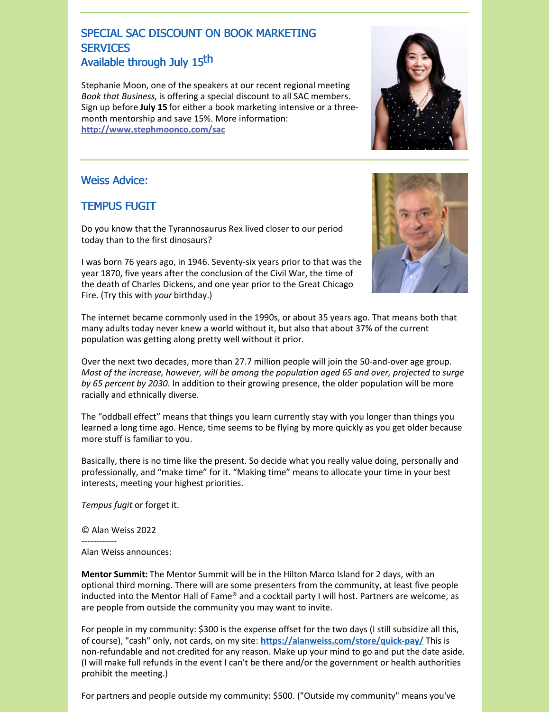# SPECIAL SAC DISCOUNT ON BOOK MARKETING **SERVICES** Available through July 15<sup>th</sup>

Stephanie Moon, one of the speakers at our recent regional meeting *Book that Business*, is offering a special discount to all SAC members. Sign up before **July 15** for either a book marketing intensive or a threemonth mentorship and save 15%. More information: **<http://www.stephmoonco.com/sac>**

### Weiss Advice:

# TEMPUS FUGIT

Do you know that the Tyrannosaurus Rex lived closer to our period today than to the first dinosaurs?

I was born 76 years ago, in 1946. Seventy-six years prior to that was the year 1870, five years after the conclusion of the Civil War, the time of the death of Charles Dickens, and one year prior to the Great Chicago Fire. (Try this with *your* birthday.)

The internet became commonly used in the 1990s, or about 35 years ago. That means both that many adults today never knew a world without it, but also that about 37% of the current population was getting along pretty well without it prior.

Over the next two decades, more than 27.7 million people will join the 50-and-over age group. *Most of the increase, however, will be among the population aged 65 and over, projected to surge by 65 percent by 2030*. In addition to their growing presence, the older population will be more racially and ethnically diverse.

The "oddball effect" means that things you learn currently stay with you longer than things you learned a long time ago. Hence, time seems to be flying by more quickly as you get older because more stuff is familiar to you.

Basically, there is no time like the present. So decide what you really value doing, personally and professionally, and "make time" for it. "Making time" means to allocate your time in your best interests, meeting your highest priorities.

*Tempus fugit* or forget it.

© Alan Weiss 2022

------------ Alan Weiss announces:

**Mentor Summit:** The Mentor Summit will be in the Hilton Marco Island for 2 days, with an optional third morning. There will are some presenters from the community, at least five people inducted into the Mentor Hall of Fame® and a cocktail party I will host. Partners are welcome, as are people from outside the community you may want to invite.

For people in my community: \$300 is the expense offset for the two days (I still subsidize all this, of course), "cash" only, not cards, on my site: **<https://alanweiss.com/store/quick-pay/>** This is non-refundable and not credited for any reason. Make up your mind to go and put the date aside. (I will make full refunds in the event I can't be there and/or the government or health authorities prohibit the meeting.)

For partners and people outside my community: \$500. ("Outside my community" means you've



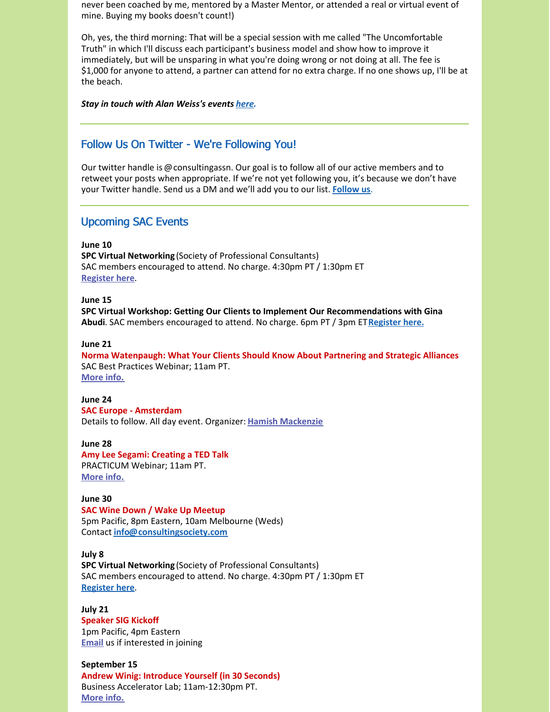never been coached by me, mentored by a Master Mentor, or attended a real or virtual event of mine. Buying my books doesn't count!)

Oh, yes, the third morning: That will be a special session with me called "The Uncomfortable Truth" in which I'll discuss each participant's business model and show how to improve it immediately, but will be unsparing in what you're doing wrong or not doing at all. The fee is \$1,000 for anyone to attend, a partner can attend for no extra charge. If no one shows up, I'll be at the beach.

*Stay in touch with Alan Weiss's events [here](https://www.alanweiss.com/growth-experiences/).*

### Follow Us On Twitter - We're Following You!

Our twitter handle is @consultingassn. Our goal is to follow all of our active members and to retweet your posts when appropriate. If we're not yet following you, it's because we don't have your Twitter handle. Send us a DM and we'll add you to our list. **[Follow](https://twitter.com/ConsultingAssn) us**.

### Upcoming SAC Events

**June 10**

**SPC Virtual Networking** (Society of Professional Consultants) SAC members encouraged to attend. No charge. 4:30pm PT / 1:30pm ET **[Register](https://spconsultants.org/event-4802468) here**.

**June 15**

**SPC Virtual Workshop: Getting Our Clients to Implement Our Recommendations with Gina Abudi**. SAC members encouraged to attend. No charge. 6pm PT / 3pm ET**[Register](https://spconsultants.org/event-4770635) here.**

#### **June 21**

**Norma Watenpaugh: What Your Clients Should Know About Partnering and Strategic Alliances** SAC Best Practices Webinar; 11am PT. **[More](https://consultingsociety.com/programs-events/best-practices-webinars/#watenpaugh-0622) info.**

#### **June 24**

**SAC Europe - Amsterdam** Details to follow. All day event. Organizer: **Hamish [Mackenzie](mailto:europe@consultingsociety.com)**

**June 28 Amy Lee Segami: Creating a TED Talk** PRACTICUM Webinar; 11am PT. **[More](https://consultingsociety.com/programs-events/practicum-webinars/#segami-0622) info.**

#### **June 30**

**SAC Wine Down / Wake Up Meetup** 5pm Pacific, 8pm Eastern, 10am Melbourne (Weds) Contact **[info@consultingsociety.com](mailto:info@consultingsociety.com)**

**July 8**

**SPC Virtual Networking** (Society of Professional Consultants) SAC members encouraged to attend. No charge. 4:30pm PT / 1:30pm ET **[Register](https://spconsultants.org/event-4842778) here**.

**July 21 Speaker SIG Kickoff** 1pm Pacific, 4pm Eastern **[Email](mailto:info@consultingsociety.com)** us if interested in joining

**September 15 Andrew Winig: Introduce Yourself (in 30 Seconds)** Business Accelerator Lab; 11am-12:30pm PT. **[More](https://consultingsociety.com/programs-events/business-accelerator-labs/#winig-0922) info.**